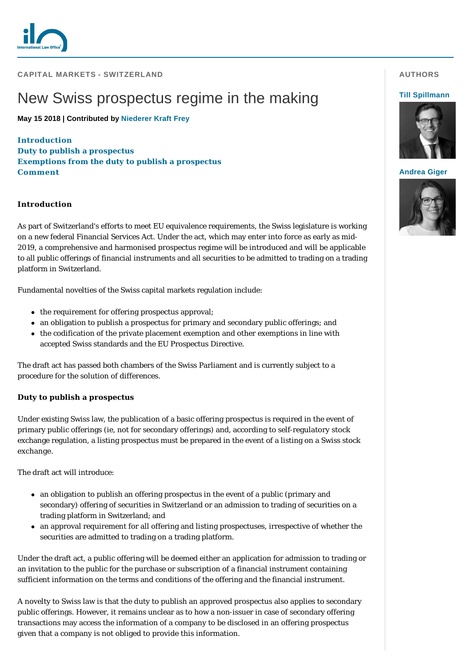

**CAPITAL MARKETS - SWITZERLAND** 

# New Swiss prospectus regime in the making

**May 15 2018 | Contributed by [Niederer Kraft Frey](https://www.internationallawoffice.com/gesr.ashx?l=7ZBCS8L)**

**[Introduction](#page-0-0) [Duty to publish a prospectus](#page-0-1) [Exemptions from the duty to publish a prospectus](#page-1-0) [Comment](#page-2-0)**

### <span id="page-0-0"></span>**Introduction**

As part of Switzerland's efforts to meet EU equivalence requirements, the Swiss legislature is working on a new federal Financial Services Act. Under the act, which may enter into force as early as mid-2019, a comprehensive and harmonised prospectus regime will be introduced and will be applicable to all public offerings of financial instruments and all securities to be admitted to trading on a trading platform in Switzerland.

Fundamental novelties of the Swiss capital markets regulation include:

- $\bullet$  the requirement for offering prospectus approval;
- an obligation to publish a prospectus for primary and secondary public offerings; and
- $\bullet$  the codification of the private placement exemption and other exemptions in line with accepted Swiss standards and the EU Prospectus Directive.

The draft act has passed both chambers of the Swiss Parliament and is currently subject to a procedure for the solution of differences.

## <span id="page-0-1"></span>**Duty to publish a prospectus**

Under existing Swiss law, the publication of a basic offering prospectus is required in the event of primary public offerings (ie, not for secondary offerings) and, according to self-regulatory stock exchange regulation, a listing prospectus must be prepared in the event of a listing on a Swiss stock exchange.

The draft act will introduce:

- $\bullet$  an obligation to publish an offering prospectus in the event of a public (primary and secondary) offering of securities in Switzerland or an admission to trading of securities on a trading platform in Switzerland; and
- an approval requirement for all offering and listing prospectuses, irrespective of whether the securities are admitted to trading on a trading platform.

Under the draft act, a public offering will be deemed either an application for admission to trading or an invitation to the public for the purchase or subscription of a financial instrument containing sufficient information on the terms and conditions of the offering and the financial instrument.

A novelty to Swiss law is that the duty to publish an approved prospectus also applies to secondary public offerings. However, it remains unclear as to how a non-issuer in case of secondary offering transactions may access the information of a company to be disclosed in an offering prospectus given that a company is not obliged to provide this information.

# **AUTHORS**

#### **[Till Spillmann](https://www.internationallawoffice.com/gesr.ashx?l=7ZBCS91)**



#### **[Andrea Giger](https://www.internationallawoffice.com/gesr.ashx?l=7ZBCS94)**

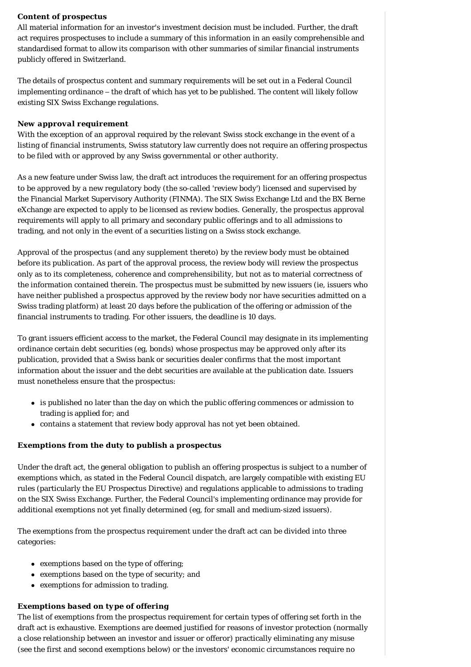## *Content of prospectus*

All material information for an investor's investment decision must be included. Further, the draft act requires prospectuses to include a summary of this information in an easily comprehensible and standardised format to allow its comparison with other summaries of similar financial instruments publicly offered in Switzerland.

The details of prospectus content and summary requirements will be set out in a Federal Council implementing ordinance – the draft of which has yet to be published. The content will likely follow existing SIX Swiss Exchange regulations.

#### *New approval requirement*

With the exception of an approval required by the relevant Swiss stock exchange in the event of a listing of financial instruments, Swiss statutory law currently does not require an offering prospectus to be filed with or approved by any Swiss governmental or other authority.

As a new feature under Swiss law, the draft act introduces the requirement for an offering prospectus to be approved by a new regulatory body (the so-called 'review body') licensed and supervised by the Financial Market Supervisory Authority (FINMA). The SIX Swiss Exchange Ltd and the BX Berne eXchange are expected to apply to be licensed as review bodies. Generally, the prospectus approval requirements will apply to all primary and secondary public offerings and to all admissions to trading, and not only in the event of a securities listing on a Swiss stock exchange.

Approval of the prospectus (and any supplement thereto) by the review body must be obtained before its publication. As part of the approval process, the review body will review the prospectus only as to its completeness, coherence and comprehensibility, but not as to material correctness of the information contained therein. The prospectus must be submitted by new issuers (ie, issuers who have neither published a prospectus approved by the review body nor have securities admitted on a Swiss trading platform) at least 20 days before the publication of the offering or admission of the financial instruments to trading. For other issuers, the deadline is 10 days.

To grant issuers efficient access to the market, the Federal Council may designate in its implementing ordinance certain debt securities (eg, bonds) whose prospectus may be approved only after its publication, provided that a Swiss bank or securities dealer confirms that the most important information about the issuer and the debt securities are available at the publication date. Issuers must nonetheless ensure that the prospectus:

- is published no later than the day on which the public offering commences or admission to trading is applied for; and
- contains a statement that review body approval has not yet been obtained.

#### <span id="page-1-0"></span>**Exemptions from the duty to publish a prospectus**

Under the draft act, the general obligation to publish an offering prospectus is subject to a number of exemptions which, as stated in the Federal Council dispatch, are largely compatible with existing EU rules (particularly the EU Prospectus Directive) and regulations applicable to admissions to trading on the SIX Swiss Exchange. Further, the Federal Council's implementing ordinance may provide for additional exemptions not yet finally determined (eg, for small and medium-sized issuers).

The exemptions from the prospectus requirement under the draft act can be divided into three categories:

- exemptions based on the type of offering;
- exemptions based on the type of security; and
- exemptions for admission to trading.

#### *Exemptions based on type of offering*

The list of exemptions from the prospectus requirement for certain types of offering set forth in the draft act is exhaustive. Exemptions are deemed justified for reasons of investor protection (normally a close relationship between an investor and issuer or offeror) practically eliminating any misuse (see the first and second exemptions below) or the investors' economic circumstances require no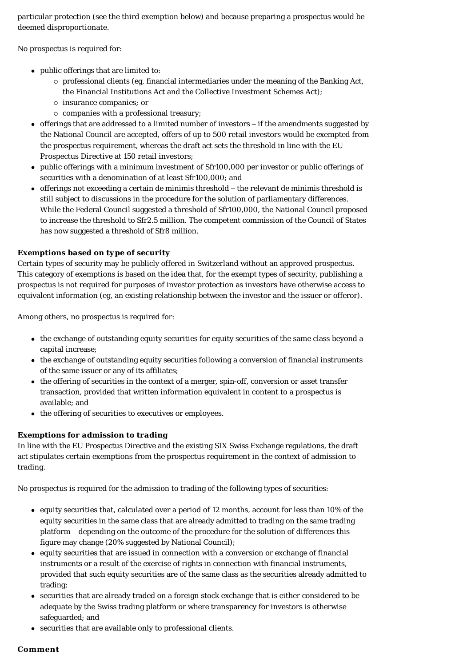particular protection (see the third exemption below) and because preparing a prospectus would be deemed disproportionate.

No prospectus is required for:

- public offerings that are limited to:
	- $\circ$  professional clients (eg, financial intermediaries under the meaning of the Banking Act, the Financial Institutions Act and the Collective Investment Schemes Act);
	- ¡ insurance companies; or
	- $\circ$  companies with a professional treasury;
- offerings that are addressed to a limited number of investors if the amendments suggested by the National Council are accepted, offers of up to 500 retail investors would be exempted from the prospectus requirement, whereas the draft act sets the threshold in line with the EU Prospectus Directive at 150 retail investors;
- public offerings with a minimum investment of Sfr100,000 per investor or public offerings of securities with a denomination of at least Sfr100,000; and
- <sup>l</sup> offerings not exceeding a certain *de minimis* threshold the relevant *de minimis* threshold is still subject to discussions in the procedure for the solution of parliamentary differences. While the Federal Council suggested a threshold of Sfr100,000, the National Council proposed to increase the threshold to Sfr2.5 million. The competent commission of the Council of States has now suggested a threshold of Sfr8 million.

# *Exemptions based on type of security*

Certain types of security may be publicly offered in Switzerland without an approved prospectus. This category of exemptions is based on the idea that, for the exempt types of security, publishing a prospectus is not required for purposes of investor protection as investors have otherwise access to equivalent information (eg, an existing relationship between the investor and the issuer or offeror).

Among others, no prospectus is required for:

- the exchange of outstanding equity securities for equity securities of the same class beyond a capital increase;
- the exchange of outstanding equity securities following a conversion of financial instruments of the same issuer or any of its affiliates;
- the offering of securities in the context of a merger, spin-off, conversion or asset transfer transaction, provided that written information equivalent in content to a prospectus is available; and
- the offering of securities to executives or employees.

# *Exemptions for admission to trading*

In line with the EU Prospectus Directive and the existing SIX Swiss Exchange regulations, the draft act stipulates certain exemptions from the prospectus requirement in the context of admission to trading.

No prospectus is required for the admission to trading of the following types of securities:

- <sup>l</sup> equity securities that, calculated over a period of 12 months, account for less than 10% of the equity securities in the same class that are already admitted to trading on the same trading platform – depending on the outcome of the procedure for the solution of differences this figure may change (20% suggested by National Council);
- <sup>l</sup> equity securities that are issued in connection with a conversion or exchange of financial instruments or a result of the exercise of rights in connection with financial instruments, provided that such equity securities are of the same class as the securities already admitted to trading;
- securities that are already traded on a foreign stock exchange that is either considered to be adequate by the Swiss trading platform or where transparency for investors is otherwise safeguarded; and
- securities that are available only to professional clients.

## <span id="page-2-0"></span>**Comment**